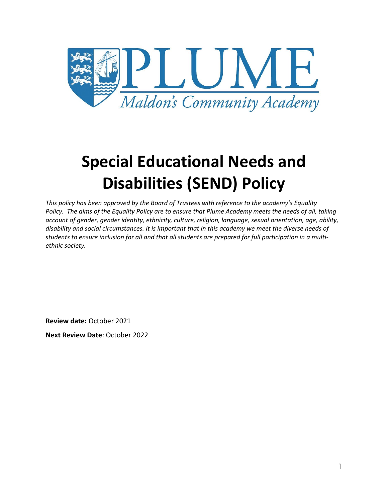

# **Special Educational Needs and Disabilities (SEND) Policy**

*This policy has been approved by the Board of Trustees with reference to the academy's Equality Policy. The aims of the Equality Policy are to ensure that Plume Academy meets the needs of all, taking account of gender, gender identity, ethnicity, culture, religion, language, sexual orientation, age, ability, disability and social circumstances. It is important that in this academy we meet the diverse needs of students to ensure inclusion for all and that all students are prepared for full participation in a multiethnic society.*

**Review date:** October 2021

**Next Review Date**: October 2022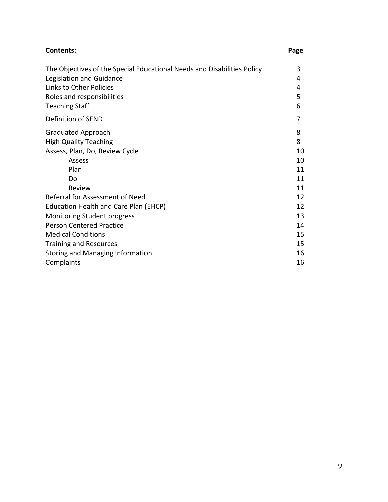| <b>Contents:</b>                                                        | Page |
|-------------------------------------------------------------------------|------|
| The Objectives of the Special Educational Needs and Disabilities Policy | 3    |
| Legislation and Guidance                                                | 4    |
| Links to Other Policies                                                 | 4    |
| Roles and responsibilities                                              | 5    |
| <b>Teaching Staff</b>                                                   | 6    |
| Definition of SEND                                                      |      |
| <b>Graduated Approach</b>                                               | 8    |
| <b>High Quality Teaching</b>                                            | 8    |
| Assess, Plan, Do, Review Cycle                                          | 10   |
| Assess                                                                  | 10   |
| Plan                                                                    | 11   |
| Do                                                                      | 11   |
| Review                                                                  | 11   |
| Referral for Assessment of Need                                         | 12   |
| Education Health and Care Plan (EHCP)                                   | 12   |
| Monitoring Student progress                                             | 13   |
| <b>Person Centered Practice</b>                                         | 14   |
| <b>Medical Conditions</b>                                               | 15   |
| <b>Training and Resources</b>                                           | 15   |
| <b>Storing and Managing Information</b>                                 | 16   |
| Complaints                                                              | 16   |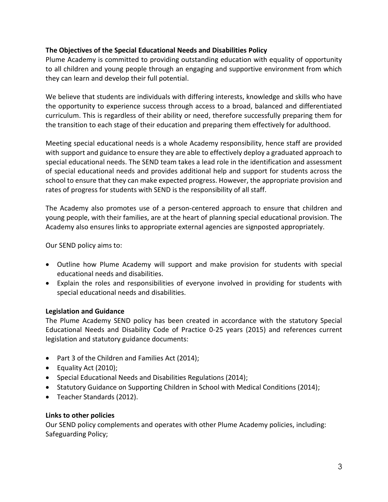# **The Objectives of the Special Educational Needs and Disabilities Policy**

Plume Academy is committed to providing outstanding education with equality of opportunity to all children and young people through an engaging and supportive environment from which they can learn and develop their full potential.

We believe that students are individuals with differing interests, knowledge and skills who have the opportunity to experience success through access to a broad, balanced and differentiated curriculum. This is regardless of their ability or need, therefore successfully preparing them for the transition to each stage of their education and preparing them effectively for adulthood.

Meeting special educational needs is a whole Academy responsibility, hence staff are provided with support and guidance to ensure they are able to effectively deploy a graduated approach to special educational needs. The SEND team takes a lead role in the identification and assessment of special educational needs and provides additional help and support for students across the school to ensure that they can make expected progress. However, the appropriate provision and rates of progress for students with SEND is the responsibility of all staff.

The Academy also promotes use of a person-centered approach to ensure that children and young people, with their families, are at the heart of planning special educational provision. The Academy also ensures links to appropriate external agencies are signposted appropriately.

Our SEND policy aims to:

- Outline how Plume Academy will support and make provision for students with special educational needs and disabilities.
- Explain the roles and responsibilities of everyone involved in providing for students with special educational needs and disabilities.

# **Legislation and Guidance**

The Plume Academy SEND policy has been created in accordance with the statutory Special Educational Needs and Disability Code of Practice 0-25 years (2015) and references current legislation and statutory guidance documents:

- Part 3 of the Children and Families Act (2014);
- Equality Act (2010);
- Special Educational Needs and Disabilities Regulations (2014);
- Statutory Guidance on Supporting Children in School with Medical Conditions (2014);
- Teacher Standards (2012).

# **Links to other policies**

Our SEND policy complements and operates with other Plume Academy policies, including: Safeguarding Policy;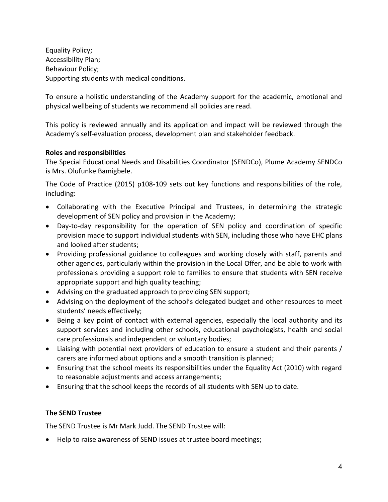Equality Policy; Accessibility Plan; Behaviour Policy; Supporting students with medical conditions.

To ensure a holistic understanding of the Academy support for the academic, emotional and physical wellbeing of students we recommend all policies are read.

This policy is reviewed annually and its application and impact will be reviewed through the Academy's self-evaluation process, development plan and stakeholder feedback.

# **Roles and responsibilities**

The Special Educational Needs and Disabilities Coordinator (SENDCo), Plume Academy SENDCo is Mrs. Olufunke Bamigbele.

The Code of Practice (2015) p108-109 sets out key functions and responsibilities of the role, including:

- Collaborating with the Executive Principal and Trustees, in determining the strategic development of SEN policy and provision in the Academy;
- Day-to-day responsibility for the operation of SEN policy and coordination of specific provision made to support individual students with SEN, including those who have EHC plans and looked after students;
- Providing professional guidance to colleagues and working closely with staff, parents and other agencies, particularly within the provision in the Local Offer, and be able to work with professionals providing a support role to families to ensure that students with SEN receive appropriate support and high quality teaching;
- Advising on the graduated approach to providing SEN support;
- Advising on the deployment of the school's delegated budget and other resources to meet students' needs effectively;
- Being a key point of contact with external agencies, especially the local authority and its support services and including other schools, educational psychologists, health and social care professionals and independent or voluntary bodies;
- Liaising with potential next providers of education to ensure a student and their parents / carers are informed about options and a smooth transition is planned;
- Ensuring that the school meets its responsibilities under the Equality Act (2010) with regard to reasonable adjustments and access arrangements;
- Ensuring that the school keeps the records of all students with SEN up to date.

# **The SEND Trustee**

The SEND Trustee is Mr Mark Judd. The SEND Trustee will:

Help to raise awareness of SEND issues at trustee board meetings;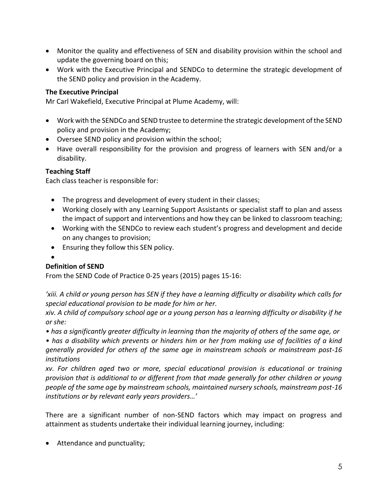- Monitor the quality and effectiveness of SEN and disability provision within the school and update the governing board on this;
- Work with the Executive Principal and SENDCo to determine the strategic development of the SEND policy and provision in the Academy.

# **The Executive Principal**

Mr Carl Wakefield, Executive Principal at Plume Academy, will:

- Work with the SENDCo and SEND trustee to determine the strategic development of the SEND policy and provision in the Academy;
- Oversee SEND policy and provision within the school;
- Have overall responsibility for the provision and progress of learners with SEN and/or a disability.

# **Teaching Staff**

Each class teacher is responsible for:

- The progress and development of every student in their classes;
- Working closely with any Learning Support Assistants or specialist staff to plan and assess the impact of support and interventions and how they can be linked to classroom teaching;
- Working with the SENDCo to review each student's progress and development and decide on any changes to provision;
- Ensuring they follow this SEN policy.
- $\bullet$

# **Definition of SEND**

From the SEND Code of Practice 0-25 years (2015) pages 15-16:

*'xiii. A child or young person has SEN if they have a learning difficulty or disability which calls for special educational provision to be made for him or her.* 

*xiv. A child of compulsory school age or a young person has a learning difficulty or disability if he or she:* 

*• has a significantly greater difficulty in learning than the majority of others of the same age, or* 

*• has a disability which prevents or hinders him or her from making use of facilities of a kind generally provided for others of the same age in mainstream schools or mainstream post-16 institutions*

*xv. For children aged two or more, special educational provision is educational or training provision that is additional to or different from that made generally for other children or young people of the same age by mainstream schools, maintained nursery schools, mainstream post-16 institutions or by relevant early years providers…'*

There are a significant number of non-SEND factors which may impact on progress and attainment as students undertake their individual learning journey, including:

• Attendance and punctuality;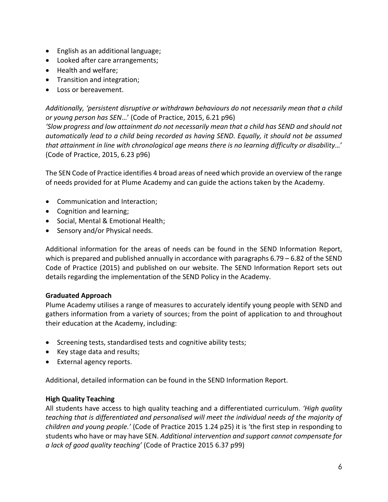- English as an additional language;
- Looked after care arrangements;
- Health and welfare;
- Transition and integration;
- Loss or bereavement.

*Additionally, 'persistent disruptive or withdrawn behaviours do not necessarily mean that a child or young person has SEN*…' (Code of Practice, 2015, 6.21 p96)

*'Slow progress and low attainment do not necessarily mean that a child has SEND and should not automatically lead to a child being recorded as having SEND. Equally, it should not be assumed that attainment in line with chronological age means there is no learning difficulty or disability…*' (Code of Practice, 2015, 6.23 p96)

The SEN Code of Practice identifies 4 broad areas of need which provide an overview of the range of needs provided for at Plume Academy and can guide the actions taken by the Academy.

- Communication and Interaction;
- Cognition and learning;
- Social, Mental & Emotional Health;
- Sensory and/or Physical needs.

Additional information for the areas of needs can be found in the SEND Information Report, which is prepared and published annually in accordance with paragraphs 6.79 – 6.82 of the SEND Code of Practice (2015) and published on our website. The SEND Information Report sets out details regarding the implementation of the SEND Policy in the Academy.

# **Graduated Approach**

Plume Academy utilises a range of measures to accurately identify young people with SEND and gathers information from a variety of sources; from the point of application to and throughout their education at the Academy, including:

- Screening tests, standardised tests and cognitive ability tests;
- Key stage data and results;
- External agency reports.

Additional, detailed information can be found in the SEND Information Report.

# **High Quality Teaching**

All students have access to high quality teaching and a differentiated curriculum. *'High quality teaching that is differentiated and personalised will meet the individual needs of the majority of children and young people.'* (Code of Practice 2015 1.24 p25) it is 'the first step in responding to students who have or may have SEN. *Additional intervention and support cannot compensate for a lack of good quality teaching'* (Code of Practice 2015 6.37 p99)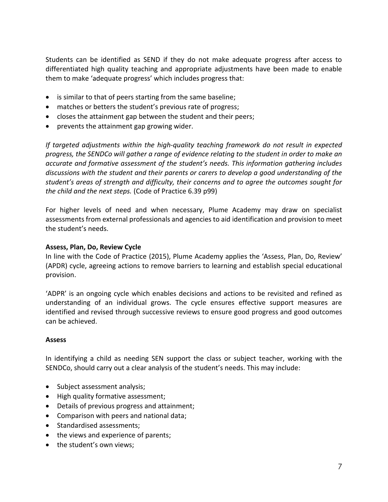Students can be identified as SEND if they do not make adequate progress after access to differentiated high quality teaching and appropriate adjustments have been made to enable them to make 'adequate progress' which includes progress that:

- is similar to that of peers starting from the same baseline;
- matches or betters the student's previous rate of progress;
- closes the attainment gap between the student and their peers;
- prevents the attainment gap growing wider.

*If targeted adjustments within the high-quality teaching framework do not result in expected progress, the SENDCo will gather a range of evidence relating to the student in order to make an accurate and formative assessment of the student's needs. This information gathering includes discussions with the student and their parents or carers to develop a good understanding of the student's areas of strength and difficulty, their concerns and to agree the outcomes sought for the child and the next steps.* (Code of Practice 6.39 p99)

For higher levels of need and when necessary, Plume Academy may draw on specialist assessments from external professionals and agencies to aid identification and provision to meet the student's needs.

# **Assess, Plan, Do, Review Cycle**

In line with the Code of Practice (2015), Plume Academy applies the 'Assess, Plan, Do, Review' (APDR) cycle, agreeing actions to remove barriers to learning and establish special educational provision.

'ADPR' is an ongoing cycle which enables decisions and actions to be revisited and refined as understanding of an individual grows. The cycle ensures effective support measures are identified and revised through successive reviews to ensure good progress and good outcomes can be achieved.

# **Assess**

In identifying a child as needing SEN support the class or subject teacher, working with the SENDCo, should carry out a clear analysis of the student's needs. This may include:

- Subject assessment analysis;
- High quality formative assessment;
- Details of previous progress and attainment;
- Comparison with peers and national data;
- Standardised assessments;
- the views and experience of parents;
- the student's own views;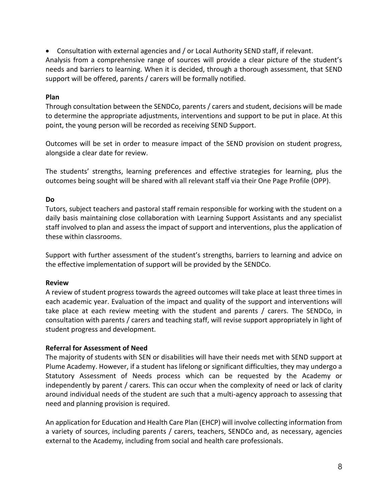Consultation with external agencies and / or Local Authority SEND staff, if relevant.

Analysis from a comprehensive range of sources will provide a clear picture of the student's needs and barriers to learning. When it is decided, through a thorough assessment, that SEND support will be offered, parents / carers will be formally notified.

#### **Plan**

Through consultation between the SENDCo, parents / carers and student, decisions will be made to determine the appropriate adjustments, interventions and support to be put in place. At this point, the young person will be recorded as receiving SEND Support.

Outcomes will be set in order to measure impact of the SEND provision on student progress, alongside a clear date for review.

The students' strengths, learning preferences and effective strategies for learning, plus the outcomes being sought will be shared with all relevant staff via their One Page Profile (OPP).

# **Do**

Tutors, subject teachers and pastoral staff remain responsible for working with the student on a daily basis maintaining close collaboration with Learning Support Assistants and any specialist staff involved to plan and assess the impact of support and interventions, plus the application of these within classrooms.

Support with further assessment of the student's strengths, barriers to learning and advice on the effective implementation of support will be provided by the SENDCo.

# **Review**

A review of student progress towards the agreed outcomes will take place at least three times in each academic year. Evaluation of the impact and quality of the support and interventions will take place at each review meeting with the student and parents / carers. The SENDCo, in consultation with parents / carers and teaching staff, will revise support appropriately in light of student progress and development.

# **Referral for Assessment of Need**

The majority of students with SEN or disabilities will have their needs met with SEND support at Plume Academy. However, if a student has lifelong or significant difficulties, they may undergo a Statutory Assessment of Needs process which can be requested by the Academy or independently by parent / carers. This can occur when the complexity of need or lack of clarity around individual needs of the student are such that a multi-agency approach to assessing that need and planning provision is required.

An application for Education and Health Care Plan (EHCP) will involve collecting information from a variety of sources, including parents / carers, teachers, SENDCo and, as necessary, agencies external to the Academy, including from social and health care professionals.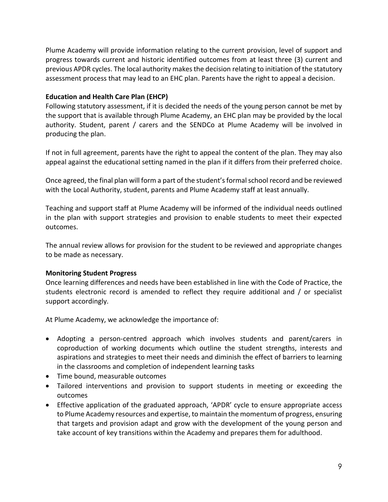Plume Academy will provide information relating to the current provision, level of support and progress towards current and historic identified outcomes from at least three (3) current and previous APDR cycles. The local authority makesthe decision relating to initiation of the statutory assessment process that may lead to an EHC plan. Parents have the right to appeal a decision.

#### **Education and Health Care Plan (EHCP)**

Following statutory assessment, if it is decided the needs of the young person cannot be met by the support that is available through Plume Academy, an EHC plan may be provided by the local authority. Student, parent / carers and the SENDCo at Plume Academy will be involved in producing the plan.

If not in full agreement, parents have the right to appeal the content of the plan. They may also appeal against the educational setting named in the plan if it differs from their preferred choice.

Once agreed, the final plan will form a part of the student's formal school record and be reviewed with the Local Authority, student, parents and Plume Academy staff at least annually.

Teaching and support staff at Plume Academy will be informed of the individual needs outlined in the plan with support strategies and provision to enable students to meet their expected outcomes.

The annual review allows for provision for the student to be reviewed and appropriate changes to be made as necessary.

#### **Monitoring Student Progress**

Once learning differences and needs have been established in line with the Code of Practice, the students electronic record is amended to reflect they require additional and / or specialist support accordingly.

At Plume Academy, we acknowledge the importance of:

- Adopting a person-centred approach which involves students and parent/carers in coproduction of working documents which outline the student strengths, interests and aspirations and strategies to meet their needs and diminish the effect of barriers to learning in the classrooms and completion of independent learning tasks
- Time bound, measurable outcomes
- Tailored interventions and provision to support students in meeting or exceeding the outcomes
- Effective application of the graduated approach, 'APDR' cycle to ensure appropriate access to Plume Academy resources and expertise, to maintain the momentum of progress, ensuring that targets and provision adapt and grow with the development of the young person and take account of key transitions within the Academy and prepares them for adulthood.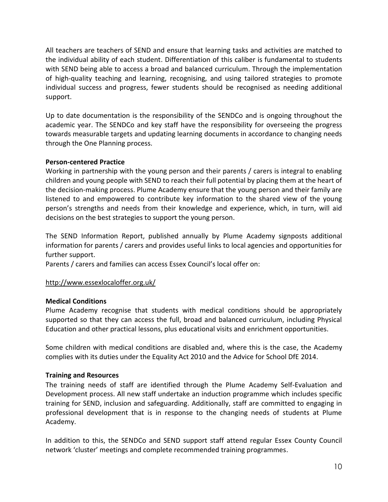All teachers are teachers of SEND and ensure that learning tasks and activities are matched to the individual ability of each student. Differentiation of this caliber is fundamental to students with SEND being able to access a broad and balanced curriculum. Through the implementation of high-quality teaching and learning, recognising, and using tailored strategies to promote individual success and progress, fewer students should be recognised as needing additional support.

Up to date documentation is the responsibility of the SENDCo and is ongoing throughout the academic year. The SENDCo and key staff have the responsibility for overseeing the progress towards measurable targets and updating learning documents in accordance to changing needs through the One Planning process.

#### **Person-centered Practice**

Working in partnership with the young person and their parents / carers is integral to enabling children and young people with SEND to reach their full potential by placing them at the heart of the decision-making process. Plume Academy ensure that the young person and their family are listened to and empowered to contribute key information to the shared view of the young person's strengths and needs from their knowledge and experience, which, in turn, will aid decisions on the best strategies to support the young person.

The SEND Information Report, published annually by Plume Academy signposts additional information for parents / carers and provides useful links to local agencies and opportunities for further support.

Parents / carers and families can access Essex Council's local offer on:

# <http://www.essexlocaloffer.org.uk/>

#### **Medical Conditions**

Plume Academy recognise that students with medical conditions should be appropriately supported so that they can access the full, broad and balanced curriculum, including Physical Education and other practical lessons, plus educational visits and enrichment opportunities.

Some children with medical conditions are disabled and, where this is the case, the Academy complies with its duties under the Equality Act 2010 and the Advice for School DfE 2014.

#### **Training and Resources**

The training needs of staff are identified through the Plume Academy Self-Evaluation and Development process. All new staff undertake an induction programme which includes specific training for SEND, inclusion and safeguarding. Additionally, staff are committed to engaging in professional development that is in response to the changing needs of students at Plume Academy.

In addition to this, the SENDCo and SEND support staff attend regular Essex County Council network 'cluster' meetings and complete recommended training programmes.